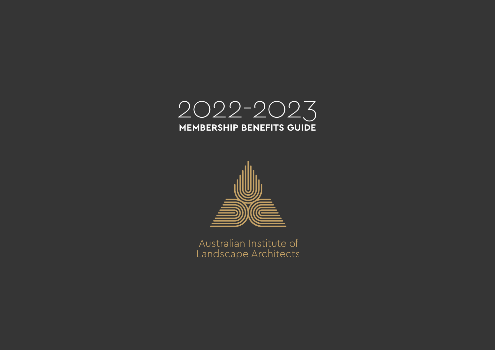



Australian Institute of Landscape Architects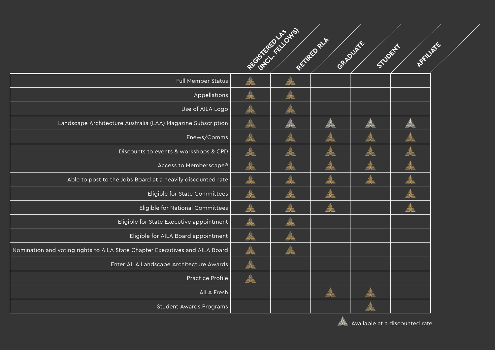|                                                                              | REGISTER FREEDED | REVIEW RY | GRADUATE<br>Silbert | MARITIM R. |  |
|------------------------------------------------------------------------------|------------------|-----------|---------------------|------------|--|
| Full Member Status                                                           |                  |           |                     |            |  |
| Appellations                                                                 |                  |           |                     |            |  |
| Use of AILA Logo                                                             |                  |           |                     |            |  |
| Landscape Architecture Australia (LAA) Magazine Subscription                 |                  |           |                     |            |  |
| Enews/Comms                                                                  |                  |           |                     |            |  |
| Discounts to events & workshops & CPD                                        |                  |           |                     |            |  |
| Access to Memberscape®                                                       |                  |           |                     |            |  |
| Able to post to the Jobs Board at a heavily discounted rate                  |                  |           |                     |            |  |
| Eligible for State Committees                                                |                  |           |                     |            |  |
| Eligible for National Committees                                             |                  |           |                     |            |  |
| Eligible for State Executive appointment                                     |                  |           |                     |            |  |
| Eligible for AILA Board appointment                                          |                  |           |                     |            |  |
| Nomination and voting rights to AILA State Chapter Executives and AILA Board |                  |           |                     |            |  |
| Enter AILA Landscape Architecture Awards                                     |                  |           |                     |            |  |
| Practice Profile                                                             |                  |           |                     |            |  |
| AILA Fresh                                                                   |                  |           |                     |            |  |
| Student Awards Programs                                                      |                  |           |                     |            |  |

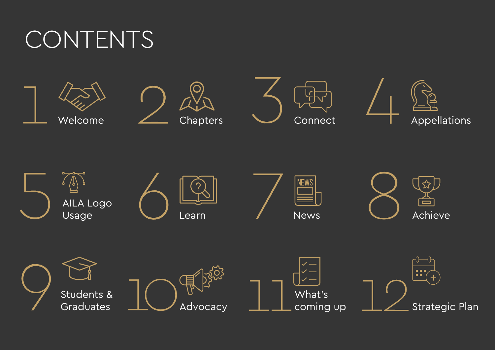### CONTENTS









5 7 8 6 **NEWS**  $\sqrt{9}$ AILA Logo  $\overline{\phantom{m}}$ Achieve Usage News Learn 9  $\frac{1}{\sqrt{2}}\int_{\text{Advocacy}}^{\frac{1}{2}} \frac{\sqrt{2}}{2} \int_{\text{coming up}}^{\frac{1}{2}-\frac{1}{2}} \frac{\sqrt{2}}{2} \int_{\text{Strategic Plan}}^{\frac{1}{2}+\frac{1}{2}}$ Students & What's Advocacy Graduates coming up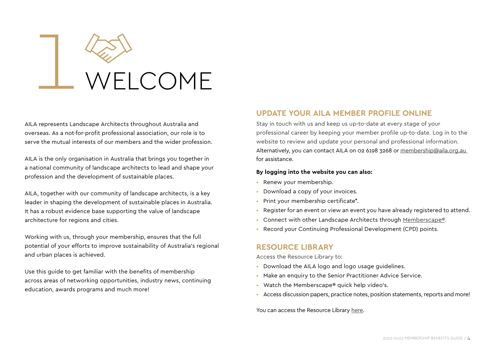## WELCOME

AILA represents Landscape Architects throughout Australia and overseas. As a not-for-profit professional association, our role is to serve the mutual interests of our members and the wider profession.

AILA is the only organisation in Australia that brings you together in a national community of landscape architects to lead and shape your profession and the development of sustainable places.

AILA, together with our community of landscape architects, is a key leader in shaping the development of sustainable places in Australia. It has a robust evidence base supporting the value of landscape architecture for regions and cities.

Working with us, through your membership, ensures that the full potential of your efforts to improve sustainability of Australia's regional and urban places is achieved.

Use this guide to get familiar with the benefits of membership across areas of networking opportunities, industry news, continuing education, awards programs and much more!

### **UPDATE YOUR AILA MEMBER PROFILE ONLINE**

Stay in touch with us and keep us up-to-date at every stage of your professional career by keeping your member profile up-to-date. Log in to the website to review and update your personal and professional information. Alternatively, you can contact AILA on 02 6198 3268 or [membership@aila.org.au](mailto:membership%40aila.org.au?subject=)  for assistance.

### **By logging into the website you can also:**

- Renew your membership.
- Download a copy of your invoices.
- Print your membership certificate\*.
- Register for an event or view an event you have already registered to attend.
- Connect with other Landscape Architects through [Memberscape®.](https://memberscape.aila.org.au/home)
- Record your Continuing Professional Development (CPD) points.

### **RESOURCE LIBRARY**

Access the Resource Library to:

- Download the AILA logo and logo usage guidelines.
- Make an enquiry to the Senior Practitioner Advice Service.
- Watch the Memberscape® quick help video's.
- Access discussion papers, practice notes, position statements, reports and more!

You can access the Resource Library [here](https://www.aila.org.au/library).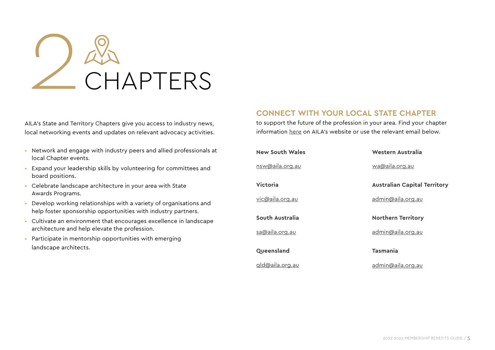

AILA's State and Territory Chapters give you access to industry news, local networking events and updates on relevant advocacy activities.

- Network and engage with industry peers and allied professionals at local Chapter events.
- Expand your leadership skills by volunteering for committees and board positions.
- Celebrate landscape architecture in your area with State Awards Programs.
- Develop working relationships with a variety of organisations and help foster sponsorship opportunities with industry partners.
- Cultivate an environment that encourages excellence in landscape architecture and help elevate the profession.
- Participate in mentorship opportunities with emerging landscape architects.

### **CONNECT WITH YOUR LOCAL STATE CHAPTER**

to support the future of the profession in your area. Find your chapter information [here](https://www.aila.org.au/Web/About-AILA/Web/About-AILA/About-AILA.aspx?hkey=a515f032-ad8f-4e98-bf62-a4693625fe1c) on AILA's website or use the relevant email below.

| <b>New South Wales</b> | Western Australia                   |
|------------------------|-------------------------------------|
| nsw@aila.org.au        | wa@aila.org.au                      |
| Victoria               | <b>Australian Capital Territory</b> |
| vic@aila.org.au        | admin@aila.org.au                   |
| South Australia        | <b>Northern Territory</b>           |
| <u>sa@aila.org.au</u>  | admin@aila.org.au                   |
| Queensland             | <b>Tasmania</b>                     |
|                        |                                     |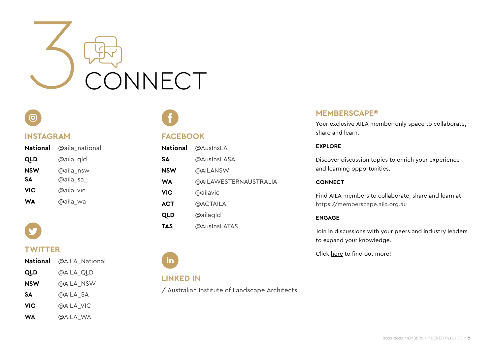

### ſО

### **INSTAGRAM**

| <b>National</b> | @aila_national |
|-----------------|----------------|
| <b>QLD</b>      | @aila_qld      |
| <b>NSW</b>      | @aila_nsw      |
| SΔ              | @aila sa       |
| VIC             | @aila_vic      |
| WΔ              | @aila_wa       |

### **TWITTER**

|            | National @AILA_National |
|------------|-------------------------|
| <b>QLD</b> | @AILA_QLD               |
| <b>NSW</b> | @AILA_NSW               |
| SΔ         | @AILA SA                |
| <b>VIC</b> | @AILA VIC               |
| WA         | @AILA_WA                |

### **FACEBOOK**

| <b>National</b> | @AusInsLA             |
|-----------------|-----------------------|
| SА              | @AusInsLASA           |
| <b>NSW</b>      | @AILANSW              |
| <b>WA</b>       | @AILAWESTERNAUSTRALIA |
| <b>VIC</b>      | @ailavic              |
| <b>ACT</b>      | @ACTAILA              |
| <b>QLD</b>      | @ailagld              |
| TAS             | @AusInsLATAS          |

### **MEMBERSCAPE®**

Your exclusive AILA member-only space to collaborate, share and learn.

### **EXPLORE**

Discover discussion topics to enrich your experience and learning opportunities.

### **CONNECT**

Find AILA members to collaborate, share and learn at https://memberscape.aila.org.au

### **ENGAGE**

Join in discussions with your peers and industry leaders to expand your knowledge.

Click [here](https://memberscape.aila.org.au/home) to find out more!

### **LINKED IN**

in

[/ Australian Institute of Landscape Architects](https://www.linkedin.com/company/australian-institute-of-landscape-architects/)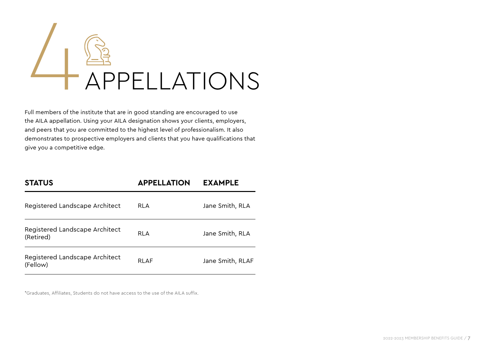

Full members of the institute that are in good standing are encouraged to use the AILA appellation. Using your AILA designation shows your clients, employers, and peers that you are committed to the highest level of professionalism. It also demonstrates to prospective employers and clients that you have qualifications that give you a competitive edge.

| <b>STATUS</b>                               | <b>APPELLATION</b> | <b>EXAMPLE</b>   |
|---------------------------------------------|--------------------|------------------|
| Registered Landscape Architect              | RLA                | Jane Smith, RLA  |
| Registered Landscape Architect<br>(Retired) | <b>RLA</b>         | Jane Smith, RLA  |
| Registered Landscape Architect<br>(Fellow)  | <b>RLAF</b>        | Jane Smith, RLAF |

\*Graduates, Affiliates, Students do not have access to the use of the AILA suffix.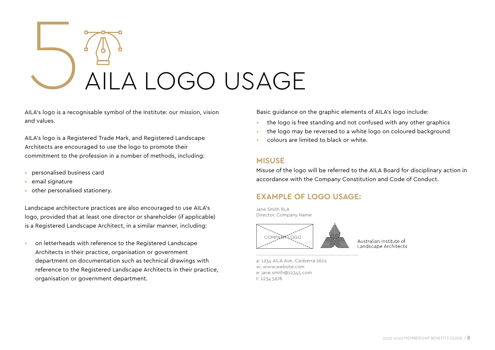# 5AILA LOGO USAGE

AILA's logo is a recognisable symbol of the Institute: our mission, vision and values.

AILA's logo is a Registered Trade Mark, and Registered Landscape Architects are encouraged to use the logo to promote their commitment to the profession in a number of methods, including:

- personalised business card
- email signature
- other personalised stationery.

Landscape architecture practices are also encouraged to use AILA's logo, provided that at least one director or shareholder (if applicable) is a Registered Landscape Architect, in a similar manner, including:

• on letterheads with reference to the Registered Landscape Architects in their practice, organisation or government department on documentation such as technical drawings with reference to the Registered Landscape Architects in their practice, organisation or government department.

Basic guidance on the graphic elements of AILA's logo include:

- the logo is free standing and not confused with any other graphics
- the logo may be reversed to a white logo on coloured background
- colours are limited to black or white.

### **MISUSE**

Misuse of the logo will be referred to the AILA Board for disciplinary action in accordance with the Company Constitution and Code of Conduct.

### **EXAMPLE OF LOGO USAGE:**

Jane Smith RLA Director, Company Name



-------------------------------------------------------------

Australian Institute of Landscape Architects

a: 1234 AILA Ave, Canberra 2601 w: www.website.com e: jane.smith@12345.com t: 1234 5678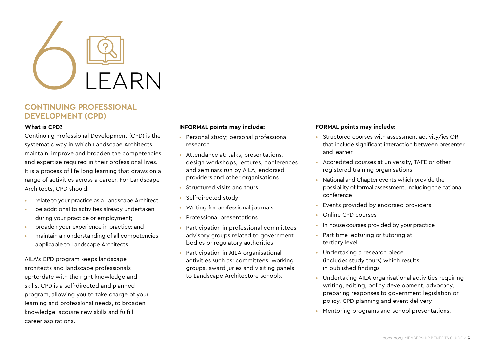

### **CONTINUING PROFESSIONAL DEVELOPMENT (CPD)**

### **What is CPD?**

Continuing Professional Development (CPD) is the systematic way in which Landscape Architects maintain, improve and broaden the competencies and expertise required in their professional lives. It is a process of life-long learning that draws on a range of activities across a career. For Landscape Architects, CPD should:

- relate to your practice as a Landscape Architect;
- be additional to activities already undertaken during your practice or employment;
- broaden your experience in practice: and
- maintain an understanding of all competencies applicable to Landscape Architects.

AILA's CPD program keeps landscape architects and landscape professionals up-to-date with the right knowledge and skills. CPD is a self-directed and planned program, allowing you to take charge of your learning and professional needs, to broaden knowledge, acquire new skills and fulfill career aspirations.

### **INFORMAL points may include:**

- Personal study; personal professional research
- Attendance at: talks, presentations, design workshops, lectures, conferences and seminars run by AILA, endorsed providers and other organisations
- Structured visits and tours
- Self-directed study
- Writing for professional journals
- Professional presentations
- Participation in professional committees, advisory groups related to government bodies or regulatory authorities
- Participation in AILA organisational activities such as: committees, working groups, award juries and visiting panels to Landscape Architecture schools.

### **FORMAL points may include:**

- Structured courses with assessment activity/ies OR that include significant interaction between presenter and learner
- Accredited courses at university, TAFE or other registered training organisations
- National and Chapter events which provide the possibility of formal assessment, including the national conference
- Events provided by endorsed providers
- Online CPD courses
- In-house courses provided by your practice
- Part-time lecturing or tutoring at tertiary level
- Undertaking a research piece (includes study tours) which results in published findings
- Undertaking AILA organisational activities requiring writing, editing, policy development, advocacy, preparing responses to government legislation or policy, CPD planning and event delivery
- Mentoring programs and school presentations.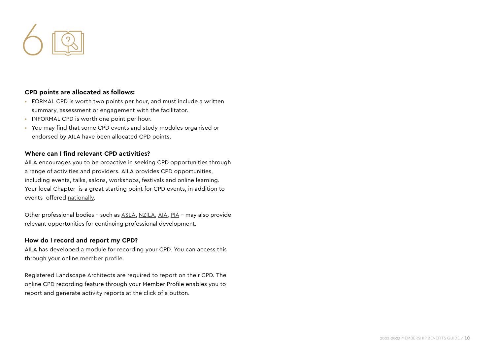

### **CPD points are allocated as follows:**

- FORMAL CPD is worth two points per hour, and must include a written summary, assessment or engagement with the facilitator.
- INFORMAL CPD is worth one point per hour.
- You may find that some CPD events and study modules organised or endorsed by AILA have been allocated CPD points.

### **Where can I find relevant CPD activities?**

AILA encourages you to be proactive in seeking CPD opportunities through a range of activities and providers. AILA provides CPD opportunities, including events, talks, salons, workshops, festivals and online learning. Your local Chapter is a great starting point for CPD events, in addition to events offered [nationally.](https://www.aila.org.au/Web/Web/Education/Events-and-CPD/Events-and-CPD.aspx)

Other professional bodies – such as [ASLA,](https://www.asla.org/) [NZILA,](https://nzila.co.nz/) [AIA,](http://www.architecture.com.au/) [PIA](https://www.planning.org.au/) – may also provide relevant opportunities for continuing professional development.

### **How do I record and report my CPD?**

AILA has developed a module for recording your CPD. You can access this through your online [member profile](http://aila.org.au/login).

Registered Landscape Architects are required to report on their CPD. The online CPD recording feature through your Member Profile enables you to report and generate activity reports at the click of a button.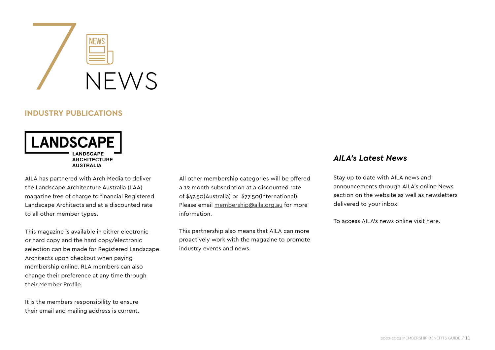

### **INDUSTRY PUBLICATIONS**



AILA has partnered with Arch Media to deliver the Landscape Architecture Australia (LAA) magazine free of charge to financial Registered Landscape Architects and at a discounted rate to all other member types.

This magazine is available in either electronic or hard copy and the hard copy/electronic selection can be made for Registered Landscape Architects upon checkout when paying membership online. RLA members can also change their preference at any time through their [Member Profile](https://aila.org.au/Web/Sign-in.aspx?LoginRedirect=true&returnurl=%2flogin).

It is the members responsibility to ensure their email and mailing address is current. All other membership categories will be offered a 12 month subscription at a discounted rate of \$47.50(Australia) or \$77.50(international). Please email membership@aila.org.au for more information.

This partnership also means that AILA can more proactively work with the magazine to promote industry events and news.

### *AILA's Latest News*

Stay up to date with AILA news and announcements through AILA's online News section on the website as well as newsletters delivered to your inbox.

To access AILA's news online visit [here](https://www.aila.org.au/Web/About-AILA/News/Web/News/News.aspx?hkey=04891b34-6420-42d8-8c58-23f49020e8b9).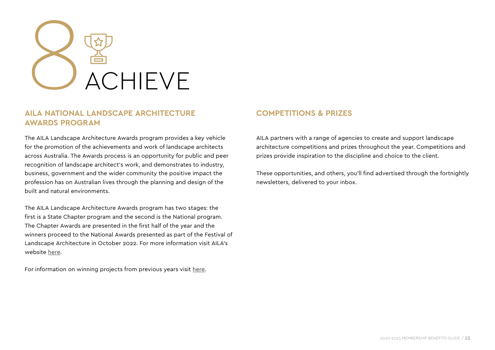

### **AILA NATIONAL LANDSCAPE ARCHITECTURE AWARDS PROGRAM**

The AILA Landscape Architecture Awards program provides a key vehicle for the promotion of the achievements and work of landscape architects across Australia. The Awards process is an opportunity for public and peer recognition of landscape architect's work, and demonstrates to industry, business, government and the wider community the positive impact the profession has on Australian lives through the planning and design of the built and natural environments.

The AILA Landscape Architecture Awards program has two stages: the first is a State Chapter program and the second is the National program. The Chapter Awards are presented in the first half of the year and the winners proceed to the National Awards presented as part of the Festival of Landscape Architecture in October 2022. For more information visit AILA's website [here](https://www.aila.org.au).

For information on winning projects from previous years visit [here](https://www.aila.org.au/AILAWeb/AILA_Awards/Past_National_Award_Winners.aspx?msclkid=e7043cdacf5411ecba699151656dbfa0).

### **COMPETITIONS & PRIZES**

AILA partners with a range of agencies to create and support landscape architecture competitions and prizes throughout the year. Competitions and prizes provide inspiration to the discipline and choice to the client.

These opportunities, and others, you'll find advertised through the fortnightly newsletters, delivered to your inbox.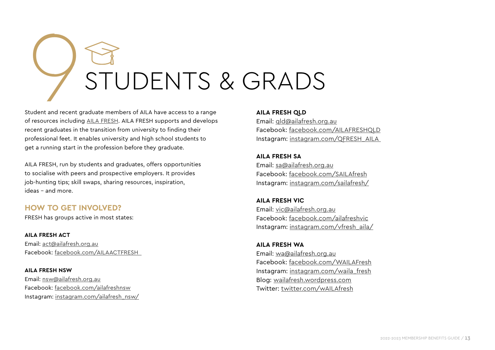# STUDENTS & GRADS

Student and recent graduate members of AILA have access to a range of resources including [AILA FRESH](https://www.aila.org.au/Web/Membership/AILA-FRESH/Web/Membership/AILA-FRESH.aspx?hkey=b7582544-6c19-4d66-9fb4-c0f600446528). AILA FRESH supports and develops recent graduates in the transition from university to finding their professional feet. It enables university and high school students to get a running start in the profession before they graduate.

AILA FRESH, run by students and graduates, offers opportunities to socialise with peers and prospective employers. It provides job-hunting tips; skill swaps, sharing resources, inspiration, ideas – and more.

### **HOW TO GET INVOLVED?**

FRESH has groups active in most states:

**AILA FRESH ACT** Email: [act@ailafresh.org.au](mailto:act%40ailafresh.org.au?subject=) Facebook: [facebook.com/A](https://www.facebook.com/ACT-Fresh-1591567227586702/?hc_ref=ARTzetdvayoUq-MtlKAYtGDIZftGMw6HJLjz2VL1WoOYFXXarWS0Jldy4ogAlvHdnmg&fref=nf)ILAACTFRESH

**AILA FRESH NSW** Email: [nsw@ailafresh.org.au](mailto:nsw%40ailafresh.org.au?subject=) Facebook: [facebook.com/ailafreshnsw](https://www.facebook.com/ailafreshnsw) Instagram: [instagram.com/ailafresh\\_nsw/](https://www.instagram.com/ailafresh_nsw/)

### **AILA FRESH QLD**

Email: [qld@ailafresh.org.au](mailto:qld%40ailafresh.org.au?subject=) Facebook: [facebook.com/AILAFRESHQLD](mailto:https://www.facebook.com/AILAFRESHQLD?subject=) Instagram: [instagram.com/QFRESH\\_AILA](http://instagram.com/QFRESH_AILA)

### **AILA FRESH SA**

Email: [sa@ailafresh.org.au](mailto:sa%40ailafresh.org.au?subject=) Facebook: [facebook.com/SAILAfresh](https://www.facebook.com/SAILAfresh) Instagram: [instagram.com/sailafresh/](https://www.instagram.com/sailafresh/)

### **AILA FRESH VIC**

Email: [vic@ailafresh.org.au](mailto:vic%40ailafresh.org.au?subject=) Facebook: [facebook.com/ailafreshvic](https://www.facebook.com/ailafreshvic) Instagram: [instagram.com/vfresh\\_aila/](http://instagram.com/vfresh_aila/)

### **AILA FRESH WA** Email: [wa@ailafresh.org.au](mailto:wa%40ailafresh.org.au?subject=) Facebook: [facebook.com/WAILAFresh](https://www.facebook.com/WAILAFresh) Instagram: [instagram.com/waila\\_fresh](http://instagram.com/waila_fresh) Blog: [wailafresh.wordpress.com](https://wailafresh.wordpress.com/) Twitter: [twitter.com/wAILAfresh](https://twitter.com/wAILAfresh)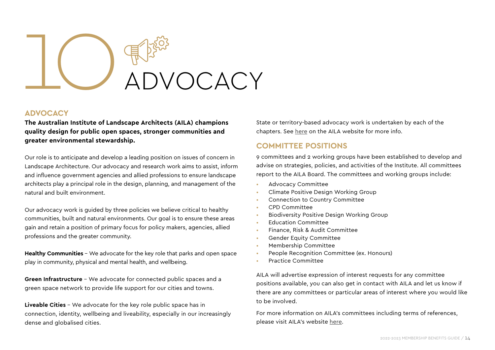

### **ADVOCACY**

**The Australian Institute of Landscape Architects (AILA) champions quality design for public open spaces, stronger communities and greater environmental stewardship.**

Our role is to anticipate and develop a leading position on issues of concern in Landscape Architecture. Our advocacy and research work aims to assist, inform and influence government agencies and allied professions to ensure landscape architects play a principal role in the design, planning, and management of the natural and built environment.

Our advocacy work is guided by three policies we believe critical to healthy communities, built and natural environments. Our goal is to ensure these areas gain and retain a position of primary focus for policy makers, agencies, allied professions and the greater community.

**Healthy Communities** – We advocate for the key role that parks and open space play in community, physical and mental health, and wellbeing.

**Green Infrastructure** – We advocate for connected public spaces and a green space network to provide life support for our cities and towns.

**Liveable Cities** – We advocate for the key role public space has in connection, identity, wellbeing and liveability, especially in our increasingly dense and globalised cities.

State or territory-based advocacy work is undertaken by each of the chapters. See [here](https://www.aila.org.au/Web/Advocacy/Web/Advocacy/Advocacy.aspx?hkey=2e0d31e7-a2a8-45eb-9efb-e25646310f4d) on the AILA website for more info.

### **COMMITTEE POSITIONS**

9 committees and 2 working groups have been established to develop and advise on strategies, policies, and activities of the Institute. All committees report to the AILA Board. The committees and working groups include:

- Advocacy Committee
- Climate Positive Design Working Group
- Connection to Country Committee
- CPD Committee
- Biodiversity Positive Design Working Group
- Education Committee
- Finance, Risk & Audit Committee
- Gender Equity Committee
- Membership Committee
- People Recognition Committee (ex. Honours)
- Practice Committee

AILA will advertise expression of interest requests for any committee positions available, you can also get in contact with AILA and let us know if there are any committees or particular areas of interest where you would like to be involved.

For more information on AILA's committees including terms of references, please visit AILA's website [here](https://www.aila.org.au/Web/About-AILA/Committees/Web/About-AILA/National-Committees-Working-Groups.aspx?hkey=9512b492-5221-41e9-a0cd-a13c31438963).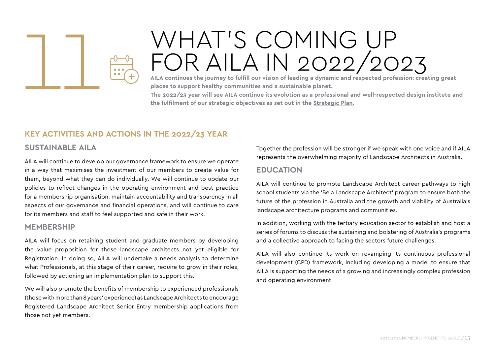

### WHAT'S COMING UP<br>FOR AILA IN 2022/2023

**AILA continues the journey to fulfill our vision of leading a dynamic and respected profession: creating great places to support healthy communities and a sustainable planet.**

**The 2022/23 year will see AILA continue its evolution as a professional and well-respected design institute and the fulfilment of our strategic objectives as set out in the S[trategic Plan](https://www.aila.org.au/common/Uploaded%20files/_AILA/Governance/AILA%20Strategic%20Plan%202021.pdf).** 

### **KEY ACTIVITIES AND ACTIONS IN THE 2022/23 YEAR**

### **SUSTAINABLE AILA**

AILA will continue to develop our governance framework to ensure we operate in a way that maximises the investment of our members to create value for them, beyond what they can do individually. We will continue to update our policies to reflect changes in the operating environment and best practice for a membership organisation, maintain accountability and transparency in all aspects of our governance and financial operations, and will continue to care for its members and staff to feel supported and safe in their work.

### **MEMBERSHIP**

AILA will focus on retaining student and graduate members by developing the value proposition for those landscape architects not yet eligible for Registration. In doing so, AILA will undertake a needs analysis to determine what Professionals, at this stage of their career, require to grow in their roles, followed by actioning an implementation plan to support this.

We will also promote the benefits of membership to experienced professionals (those with more than 8 years' experience) as Landscape Architects to encourage Registered Landscape Architect Senior Entry membership applications from those not yet members.

Together the profession will be stronger if we speak with one voice and if AILA represents the overwhelming majority of Landscape Architects in Australia.

### **EDUCATION**

AILA will continue to promote Landscape Architect career pathways to high school students via the 'Be a Landscape Architect' program to ensure both the future of the profession in Australia and the growth and viability of Australia's landscape architecture programs and communities.

In addition, working with the tertiary education sector to establish and host a series of forums to discuss the sustaining and bolstering of Australia's programs and a collective approach to facing the sectors future challenges.

AILA will also continue its work on revamping its continuous professional development (CPD) framework, including developing a model to ensure that AILA is supporting the needs of a growing and increasingly complex profession and operating environment.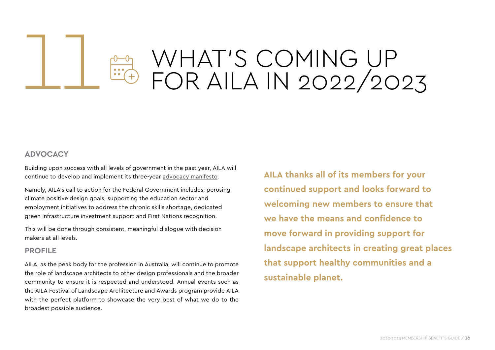### WHAT'S COMING UP<br>FOR AILA IN 2022/2023

### **ADVOCACY**

Building upon success with all levels of government in the past year, AILA will continue to develop and implement its three-year [advocacy manifesto.](https://www.aila.org.au/common/Uploaded%20files/_AILA/Submission%20Library/AILA%20Election%20Manifesto%20Flyer%202022-2025.pdf)

Namely, AILA's call to action for the Federal Government includes; perusing climate positive design goals, supporting the education sector and employment initiatives to address the chronic skills shortage, dedicated green infrastructure investment support and First Nations recognition.

This will be done through consistent, meaningful dialogue with decision makers at all levels.

### **PROFILE**

AILA, as the peak body for the profession in Australia, will continue to promote the role of landscape architects to other design professionals and the broader community to ensure it is respected and understood. Annual events such as the AILA Festival of Landscape Architecture and Awards program provide AILA with the perfect platform to showcase the very best of what we do to the broadest possible audience.

**AILA thanks all of its members for your continued support and looks forward to welcoming new members to ensure that we have the means and confidence to move forward in providing support for landscape architects in creating great places that support healthy communities and a sustainable planet.**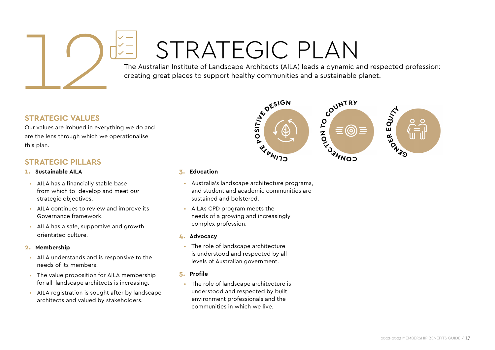### STRATEGIC PLAN

The Australian Institute of Landscape Architects (AILA) leads a dynamic and respected profession: creating great places to support healthy communities and a sustainable planet.



### **STRATEGIC VALUES**

Our values are imbued in everything we do and are the lens through which we operationalise this plan.

### **STRATEGIC PILLARS**

- **1. Sustainable AILA**
- AILA has a financially stable base from which to develop and meet our strategic objectives.
- AILA continues to review and improve its Governance framework.
- AILA has a safe, supportive and growth orientated culture.

### **2. Membership**

- AILA understands and is responsive to the needs of its members.
- The value proposition for AILA membership for all landscape architects is increasing.
- AILA registration is sought after by landscape architects and valued by stakeholders.

### **3. Education**

- Australia's landscape architecture programs, and student and academic communities are sustained and bolstered.
- AILAs CPD program meets the needs of a growing and increasingly complex profession.

### **4. Advocacy**

- The role of landscape architecture is understood and respected by all levels of Australian government.
- **5. Profile**
- The role of landscape architecture is understood and respected by built environment professionals and the communities in which we live.